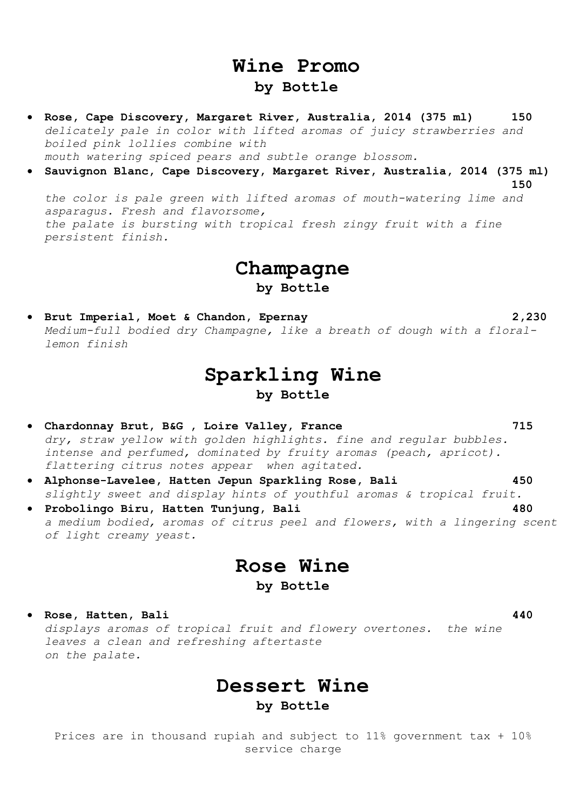## **Wine Promo by Bottle**

- **Rose, Cape Discovery, Margaret River, Australia, 2014 (375 ml) 150** *delicately pale in color with lifted aromas of juicy strawberries and boiled pink lollies combine with mouth watering spiced pears and subtle orange blossom.*
- **Sauvignon Blanc, Cape Discovery, Margaret River, Australia, 2014 (375 ml)**

**150**

*the color is pale green with lifted aromas of mouth-watering lime and asparagus. Fresh and flavorsome, the palate is bursting with tropical fresh zingy fruit with a fine persistent finish.*

**Champagne**

**by Bottle**

 **Brut Imperial, Moet & Chandon, Epernay 2,230** *Medium-full bodied dry Champagne, like a breath of dough with a florallemon finish*

## **Sparkling Wine by Bottle**

- **Chardonnay Brut, B&G , Loire Valley, France 715** *dry, straw yellow with golden highlights. fine and regular bubbles. intense and perfumed, dominated by fruity aromas (peach, apricot). flattering citrus notes appear when agitated.*
- **Alphonse-Lavelee, Hatten Jepun Sparkling Rose, Bali 450** *slightly sweet and display hints of youthful aromas & tropical fruit.*
- **Probolingo Biru, Hatten Tunjung, Bali 480** *a medium bodied, aromas of citrus peel and flowers, with a lingering scent of light creamy yeast.*

# **Rose Wine**

### **by Bottle**

 **Rose, Hatten, Bali 440** *displays aromas of tropical fruit and flowery overtones. the wine leaves a clean and refreshing aftertaste on the palate.*

# **Dessert Wine**

**by Bottle**

Prices are in thousand rupiah and subject to 11% government tax + 10% service charge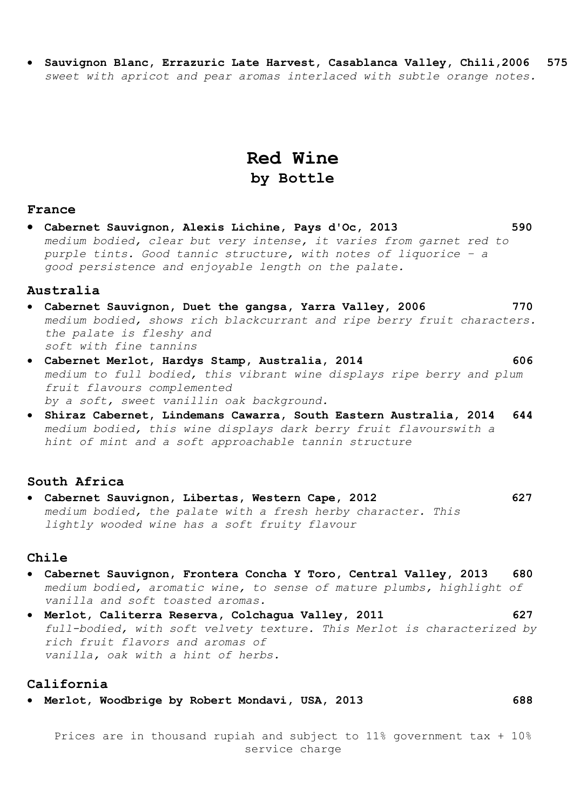**Sauvignon Blanc, Errazuric Late Harvest, Casablanca Valley, Chili,2006 575** *sweet with apricot and pear aromas interlaced with subtle orange notes.*

## **Red Wine by Bottle**

#### **France**

 **Cabernet Sauvignon, Alexis Lichine, Pays d'Oc, 2013 590** *medium bodied, clear but very intense, it varies from garnet red to purple tints. Good tannic structure, with notes of liquorice – a good persistence and enjoyable length on the palate.*

#### **Australia**

- **Cabernet Sauvignon, Duet the gangsa, Yarra Valley, 2006 770** *medium bodied, shows rich blackcurrant and ripe berry fruit characters. the palate is fleshy and soft with fine tannins*
- **Cabernet Merlot, Hardys Stamp, Australia, 2014 606** *medium to full bodied, this vibrant wine displays ripe berry and plum fruit flavours complemented by a soft, sweet vanillin oak background.*
- **Shiraz Cabernet, Lindemans Cawarra, South Eastern Australia, 2014 644** *medium bodied, this wine displays dark berry fruit flavourswith a hint of mint and a soft approachable tannin structure*

### **South Africa**

 **Cabernet Sauvignon, Libertas, Western Cape, 2012 627** *medium bodied, the palate with a fresh herby character. This lightly wooded wine has a soft fruity flavour*

#### **Chile**

- **Cabernet Sauvignon, Frontera Concha Y Toro, Central Valley, 2013 680** *medium bodied, aromatic wine, to sense of mature plumbs, highlight of vanilla and soft toasted aromas.*
- **Merlot, Caliterra Reserva, Colchagua Valley, 2011 627** *full-bodied, with soft velvety texture. This Merlot is characterized by rich fruit flavors and aromas of vanilla, oak with a hint of herbs.*

#### **California**

**Merlot, Woodbrige by Robert Mondavi, USA, 2013 688**

Prices are in thousand rupiah and subject to 11% government tax + 10% service charge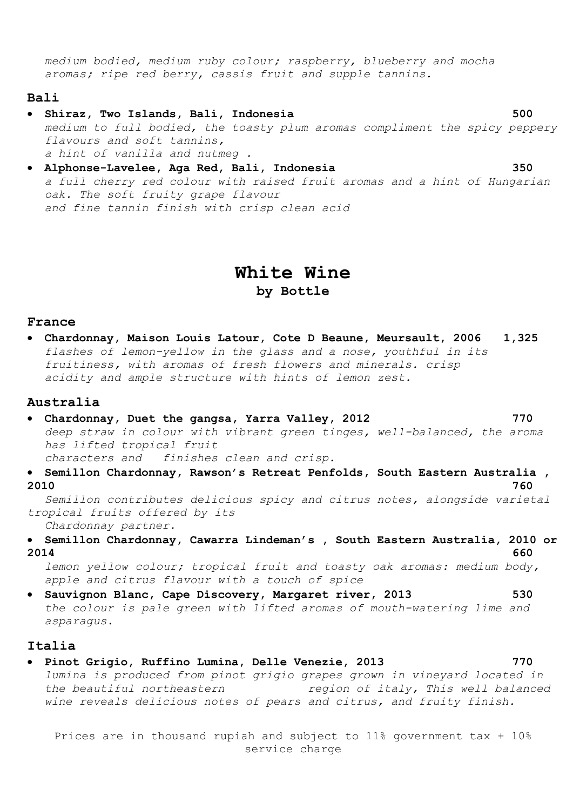*medium bodied, medium ruby colour; raspberry, blueberry and mocha aromas; ripe red berry, cassis fruit and supple tannins.*

#### **Bali**

- **Shiraz, Two Islands, Bali, Indonesia 500** *medium to full bodied, the toasty plum aromas compliment the spicy peppery flavours and soft tannins, a hint of vanilla and nutmeg .*
- **Alphonse-Lavelee, Aga Red, Bali, Indonesia 350** *a full cherry red colour with raised fruit aromas and a hint of Hungarian oak. The soft fruity grape flavour and fine tannin finish with crisp clean acid*

## **White Wine by Bottle**

#### **France**

 **Chardonnay, Maison Louis Latour, Cote D Beaune, Meursault, 2006 1,325** *flashes of lemon-yellow in the glass and a nose, youthful in its fruitiness, with aromas of fresh flowers and minerals. crisp acidity and ample structure with hints of lemon zest.*

#### **Australia**

- **Chardonnay, Duet the gangsa, Yarra Valley, 2012 770** *deep straw in colour with vibrant green tinges, well-balanced, the aroma has lifted tropical fruit characters and finishes clean and crisp.*
- **Semillon Chardonnay, Rawson's Retreat Penfolds, South Eastern Australia , 2010 760**

*Semillon contributes delicious spicy and citrus notes, alongside varietal tropical fruits offered by its* 

*Chardonnay partner.* 

 **Semillon Chardonnay, Cawarra Lindeman's , South Eastern Australia, 2010 or 2014 660**

*lemon yellow colour; tropical fruit and toasty oak aromas: medium body, apple and citrus flavour with a touch of spice*

 **Sauvignon Blanc, Cape Discovery, Margaret river, 2013 530** *the colour is pale green with lifted aromas of mouth-watering lime and asparagus.*

#### **Italia**

 **Pinot Grigio, Ruffino Lumina, Delle Venezie, 2013 770** *lumina is produced from pinot grigio grapes grown in vineyard located in the beautiful northeastern region of italy, This well balanced wine reveals delicious notes of pears and citrus, and fruity finish.*

Prices are in thousand rupiah and subject to 11% government tax + 10% service charge